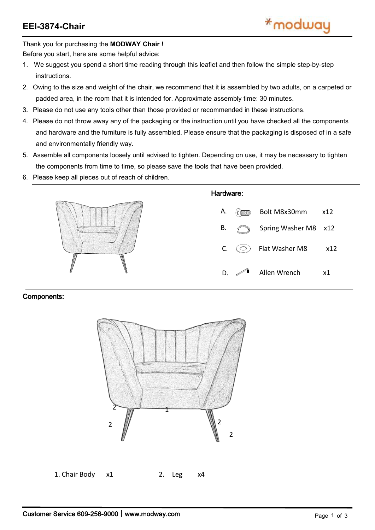Thank you for purchasing the **MODWAY Chair !**

Before you start, here are some helpful advice:

- 1. We suggest you spend a short time reading through this leaflet and then follow the simple step-by-step instructions.
- 2. Owing to the size and weight of the chair, we recommend that it is assembled by two adults, on a carpeted or padded area, in the room that it is intended for. Approximate assembly time: 30 minutes.
- 3. Please do not use any tools other than those provided or recommended in these instructions.
- 4. Please do not throw away any of the packaging or the instruction until you have checked all the components and hardware and the furniture is fully assembled. Please ensure that the packaging is disposed of in a safe and environmentally friendly way.
- 5. Assemble all components loosely until advised to tighten. Depending on use, it may be necessary to tighten the components from time to time, so please save the tools that have been provided.
- 6. Please keep all pieces out of reach of children.



## Components:

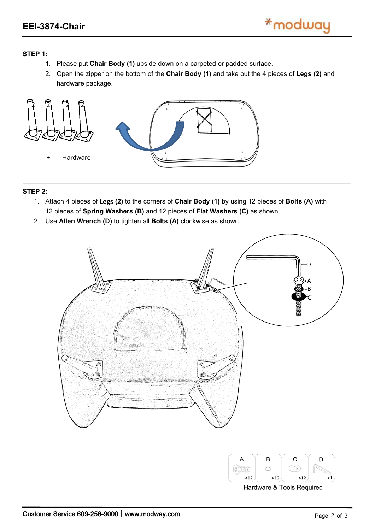## **STEP 1:**

- 1. Please put **Chair Body (1)** upside down on a carpeted or padded surface.
- 2. Open the zipper on the bottom of the **Chair Body (1)** and take out the 4 pieces of **Legs (2)** and hardware package.



## **STEP 2:**

- 1. Attach 4 pieces of **Legs (2)** to the corners of **Chair Body (1)** by using 12 pieces of **Bolts (A)** with 12 pieces of **Spring Washers (B)** and 12 pieces of **Flat Washers (C)** as shown.
- 2. Use **Allen Wrench (D**) to tighten all**Bolts (A)** clockwise as shown.





Hardware & Tools Required